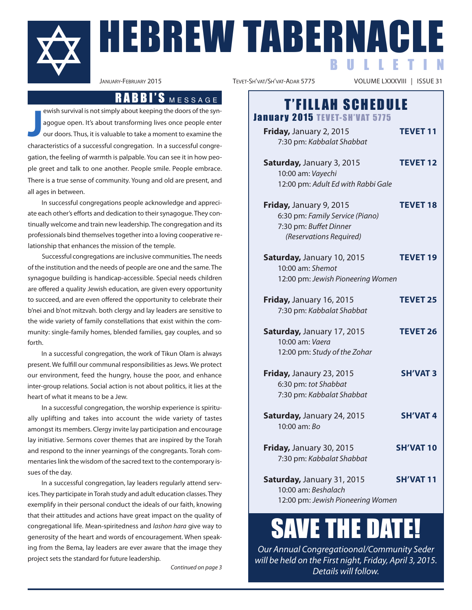

**J** ewish survival is not simply about keeping the doors of the synagogue open. It's about transforming lives once people enter our doors. Thus, it is valuable to take a moment to examine the characteristics of a successful congregation. In a successful congregation, the feeling of warmth is palpable. you can see it in how people greet and talk to one another. People smile. People embrace. There is a true sense of community. young and old are present, and all ages in between.

In successful congregations people acknowledge and appreciate each other's efforts and dedication to their synagogue. They continually welcome and train new leadership. The congregation and its professionals bind themselves together into a loving cooperative relationship that enhances the mission of the temple.

Successful congregations are inclusive communities. The needs of the institution and the needs of people are one and the same. The synagogue building is handicap-accessible. Special needs children are offered a quality Jewish education, are given every opportunity to succeed, and are even offered the opportunity to celebrate their b'nei and b'not mitzvah. both clergy and lay leaders are sensitive to the wide variety of family constellations that exist within the community: single-family homes, blended families, gay couples, and so forth.

In a successful congregation, the work of Tikun Olam is always present. We fulfill our communal responsibilities as Jews. We protect our environment, feed the hungry, house the poor, and enhance inter-group relations. Social action is not about politics, it lies at the heart of what it means to be a Jew.

In a successful congregation, the worship experience is spiritually uplifting and takes into account the wide variety of tastes amongst its members. Clergy invite lay participation and encourage lay initiative. Sermons cover themes that are inspired by the Torah and respond to the inner yearnings of the congregants. Torah commentaries link the wisdom of the sacred text to the contemporary issues of the day.

In a successful congregation, lay leaders regularly attend services. They participate in Torah study and adult education classes. They exemplify in their personal conduct the ideals of our faith, knowing that their attitudes and actions have great impact on the quality of congregational life. mean-spiritedness and lashon hara give way to generosity of the heart and words of encouragement. When speaking from the bema, lay leaders are ever aware that the image they project sets the standard for future leadership.

Continued on page 3

HEBREW TABERNAC

VOLUME LXXXVIII | ISSUE 31

B U L L E T I N

# $R$  A B B I'S  $M \in S$  S A G E  $\begin{array}{c} \begin{array}{c} \textbf{0} & \textbf{0} \end{array} & \textbf{0} \end{array}$  T'FILLAH SCHEDULE

| <b>January 2015 TEVET-SH'VAT 5775</b>                                                                                                                 |                  |
|-------------------------------------------------------------------------------------------------------------------------------------------------------|------------------|
| Friday, January 2, 2015<br>7:30 pm: Kabbalat Shabbat                                                                                                  | <b>TEVET 11</b>  |
| Saturday, January 3, 2015<br>10:00 am: Vayechi                                                                                                        | <b>TEVET 12</b>  |
| 12:00 pm: Adult Ed with Rabbi Gale<br>Friday, January 9, 2015<br>6:30 pm: Family Service (Piano)<br>7:30 pm: Buffet Dinner<br>(Reservations Required) | <b>TEVET 18</b>  |
| Saturday, January 10, 2015<br>10:00 am: Shemot<br>12:00 pm: Jewish Pioneering Women                                                                   | <b>TEVET 19</b>  |
| Friday, January 16, 2015<br>7:30 pm: Kabbalat Shabbat                                                                                                 | <b>TEVET 25</b>  |
| Saturday, January 17, 2015<br>10:00 am: Vaera<br>12:00 pm: Study of the Zohar                                                                         | <b>TEVET 26</b>  |
| Friday, Janaury 23, 2015<br>6:30 pm: tot Shabbat<br>7:30 pm: Kabbalat Shabbat                                                                         | <b>SH'VAT 3</b>  |
| Saturday, January 24, 2015<br>10:00 am: Bo                                                                                                            | <b>SH'VAT4</b>   |
| Friday, January 30, 2015<br>7:30 pm: Kabbalat Shabbat                                                                                                 | <b>SH'VAT 10</b> |
| Saturday, January 31, 2015<br>10:00 am: Beshalach<br>12:00 pm: Jewish Pioneering Women                                                                | <b>SH'VAT11</b>  |

# SAVE THE DATE!

Our Annual Congregatioonal/Community Seder will be held on the First night, Friday, April 3, 2015. Details will follow.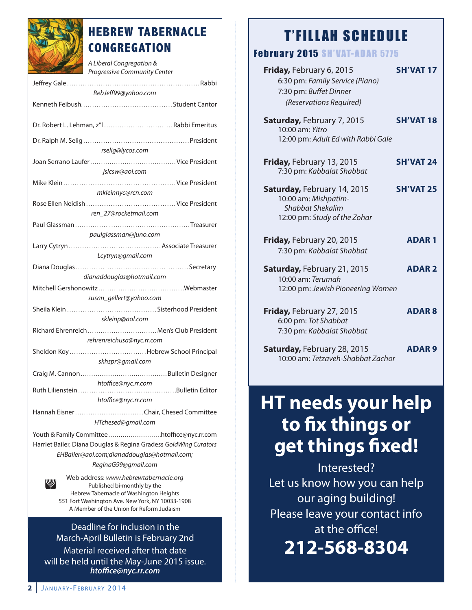

### **HEBREW TABERNACLE CONGREGATION**

A Liberal Congregation & Progressive Community Center

| RebJeff99@yahoo.com                                                         |
|-----------------------------------------------------------------------------|
|                                                                             |
|                                                                             |
| Dr. Robert L. Lehman, z"   Rabbi Emeritus                                   |
|                                                                             |
|                                                                             |
| rselig@lycos.com                                                            |
|                                                                             |
| jslcsw@aol.com                                                              |
|                                                                             |
| mkleinnyc@rcn.com                                                           |
|                                                                             |
| ren 27@rocketmail.com                                                       |
|                                                                             |
| paulglassman@juno.com                                                       |
|                                                                             |
| Lcytryn@gmail.com                                                           |
|                                                                             |
| dianaddouglas@hotmail.com                                                   |
|                                                                             |
| susan_gellert@yahoo.com                                                     |
|                                                                             |
| skleinp@aol.com                                                             |
| Richard Ehrenreich  Men's Club President                                    |
| rehrenreichusa@nyc.rr.com                                                   |
|                                                                             |
| skhspr@gmail.com                                                            |
|                                                                             |
|                                                                             |
| htoffice@nyc.rr.com                                                         |
| htoffice@nyc.rr.com                                                         |
|                                                                             |
| HTchesed@gmail.com                                                          |
|                                                                             |
|                                                                             |
| Harriet Bailer, Diana Douglas & Regina Gradess GoldWing Curators            |
| EHBailer@aol.com;dianaddouglas@hotmail.com;                                 |
| ReginaG99@gmail.com                                                         |
| Web address: www.hebrewtabernacle.org                                       |
| W<br>Published bi-monthly by the<br>Hebrew Tabernacle of Washington Heights |

hebrew Tabernacle of Washington heights 551 Fort Washington Ave. New York, NY 10033-1908 A Member of the Union for Reform Judaism

Deadline for inclusion in the march-april bulletin is February 2nd material received after that date will be held until the may-June 2015 issue. *htoffice@nyc.rr.com*

### **T'FILLAH SCHEDULE**

### **February 2015 SH'VAT-ADAR 5775**

| Friday, February 6, 2015           | <b>SH'VAT 17</b> |
|------------------------------------|------------------|
| 6:30 pm: Family Service (Piano)    |                  |
| 7:30 pm: Buffet Dinner             |                  |
| (Reservations Required)            |                  |
|                                    |                  |
| Saturday, February 7, 2015         | <b>SH'VAT 18</b> |
| 10:00 am: Yitro                    |                  |
| 12:00 pm: Adult Ed with Rabbi Gale |                  |
| Friday, February 13, 2015          | <b>SH'VAT 24</b> |
| 7:30 pm: Kabbalat Shabbat          |                  |
|                                    |                  |
| Saturday, February 14, 2015        | <b>SH'VAT 25</b> |
| 10:00 am: Mishpatim-               |                  |
| Shabbat Shekalim                   |                  |
| 12:00 pm: Study of the Zohar       |                  |
|                                    |                  |
| Friday, February 20, 2015          | <b>ADAR1</b>     |
| 7:30 pm: Kabbalat Shabbat          |                  |
|                                    |                  |
| Saturday, February 21, 2015        | <b>ADAR2</b>     |
| 10:00 am: Terumah                  |                  |
| 12:00 pm: Jewish Pioneering Women  |                  |
|                                    |                  |
| Friday, February 27, 2015          | <b>ADAR8</b>     |
| 6:00 pm: Tot Shabbat               |                  |
| 7:30 pm: Kabbalat Shabbat          |                  |
|                                    |                  |
| Saturday, February 28, 2015        | <b>ADAR9</b>     |
| 10:00 am: Tetzaveh-Shabbat Zachor  |                  |

## **HT needs your help to fix things or get things fixed!**

Interested? let us know how you can help our aging building! Please leave your contact info at the office!

**212-568-8304**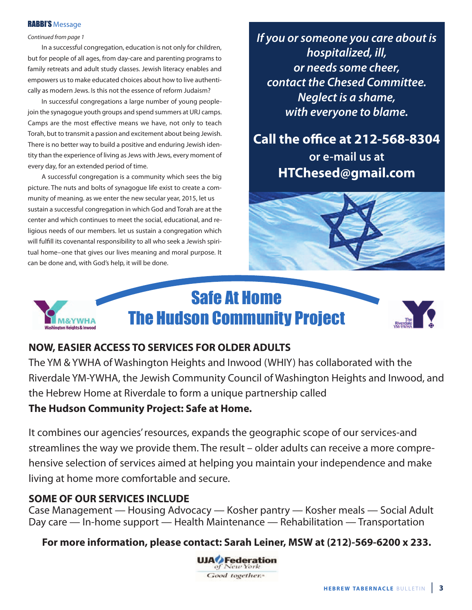### **RABBI'S Message**

### Continued from page 1

In a successful congregation, education is not only for children, but for people of all ages, from day-care and parenting programs to family retreats and adult study classes. Jewish literacy enables and empowers us to make educated choices about how to live authentically as modern Jews. Is this not the essence of reform Judaism?

In successful congregations a large number of young peoplejoin the synagogue youth groups and spend summers at URJ camps. Camps are the most effective means we have, not only to teach Torah, but to transmit a passion and excitement about being Jewish. There is no better way to build a positive and enduring Jewish identity than the experience of living as Jews with Jews, every moment of every day, for an extended period of time.

a successful congregation is a community which sees the big picture. The nuts and bolts of synagogue life exist to create a community of meaning. as we enter the new secular year, 2015, let us sustain a successful congregation in which God and Torah are at the center and which continues to meet the social, educational, and religious needs of our members. let us sustain a congregation which will fulfill its covenantal responsibility to all who seek a Jewish spiritual home–one that gives our lives meaning and moral purpose. It can be done and, with God's help, it will be done.

*If you or someone you care about is hospitalized, ill, or needs some cheer, contact the Chesed Committee. Neglect is a shame, with everyone to blame.*

### **Call the office at 212-568-8304 or e-mail us at htChesed@gmail.com**







### **NOW, eaSIer aCCeSS tO ServICeS FOr OLder adULtS**

The ym & yWha of Washington heights and Inwood (WhIy) has collaborated with the Riverdale YM-YWHA, the Jewish Community Council of Washington Heights and Inwood, and the Hebrew Home at Riverdale to form a unique partnership called

### **the hudson Community Project: Safe at home.**

It combines our agencies' resources, expands the geographic scope of our services-and streamlines the way we provide them. The result – older adults can receive a more comprehensive selection of services aimed at helping you maintain your independence and make living at home more comfortable and secure.

### **SOME OF OUR SERVICES INCLUDE**

**M&YWHA** 

Case Management — Housing Advocacy — Kosher pantry — Kosher meals — Social Adult Day care — In-home support — Health Maintenance — Rehabilitation — Transportation

**For more information, please contact: Sarah Leiner, MSW at (212)-569-6200 x 233.**

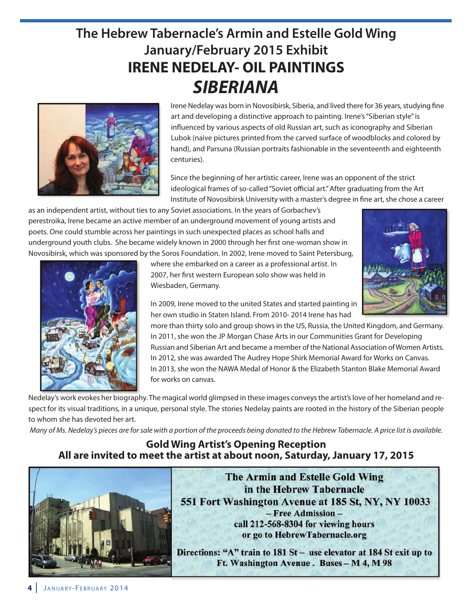### **The Hebrew Tabernacle's Armin and Estelle Gold Wing January/February 2015 Exhibit IreNe NedeLaY- OIL PaINtINGS** *SIBERIANA*



Irene Nedelay was born in Novosibirsk, Siberia, and lived there for 36 years, studying fine art and developing a distinctive approach to painting. Irene's "Siberian style" is influenced by various aspects of old Russian art, such as iconography and Siberian lubok (naive pictures printed from the carved surface of woodblocks and colored by hand), and Parsuna (Russian portraits fashionable in the seventeenth and eighteenth centuries).

Since the beginning of her artistic career, Irene was an opponent of the strict ideological frames of so-called "Soviet official art." after graduating from the art Institute of novosibirsk university with a master's degree in fine art, she chose a career

as an independent artist, without ties to any Soviet associations. In the years of Gorbachev's perestroika, Irene became an active member of an underground movement of young artists and poets. one could stumble across her paintings in such unexpected places as school halls and underground youth clubs. She became widely known in 2000 through her first one-woman show in novosibirsk, which was sponsored by the Soros Foundation. In 2002, Irene moved to Saint Petersburg,



where she embarked on a career as a professional artist. In 2007, her first western European solo show was held in Wiesbaden, Germany.

In 2009, Irene moved to the united States and started painting in her own studio in Staten Island. From 2010- 2014 Irene has had

more than thirty solo and group shows in the US, Russia, the United Kingdom, and Germany. In 2011, she won the JP Morgan Chase Arts in our Communities Grant for Developing Russian and Siberian Art and became a member of the National Association of Women Artists. In 2012, she was awarded The Audrey Hope Shirk Memorial Award for Works on Canvas. In 2013, she won the naWa medal of honor & the elizabeth Stanton blake memorial award for works on canvas.

Nedelay's work evokes her biography. The magical world glimpsed in these images conveys the artist's love of her homeland and respect for its visual traditions, in a unique, personal style. The stories Nedelay paints are rooted in the history of the Siberian people to whom she has devoted her art.

Many of Ms. Nedelay's pieces are for sale with a portion of the proceeds being donated to the Hebrew Tabernacle. A price list is available.

### **Gold Wing Artist's Opening Reception all are invited to meet the artist at about noon, Saturday, January 17, 2015**



**The Armin and Estelle Gold Wing** in the Hebrew Tabernacle 551 Fort Washington Avenue at 185 St, NY, NY 10033 - Free Admission call 212-568-8304 for viewing hours or go to HebrewTabernacle.org

Directions: "A" train to 181 St - use elevator at 184 St exit up to Ft. Washington Avenue. Buses - M 4, M 98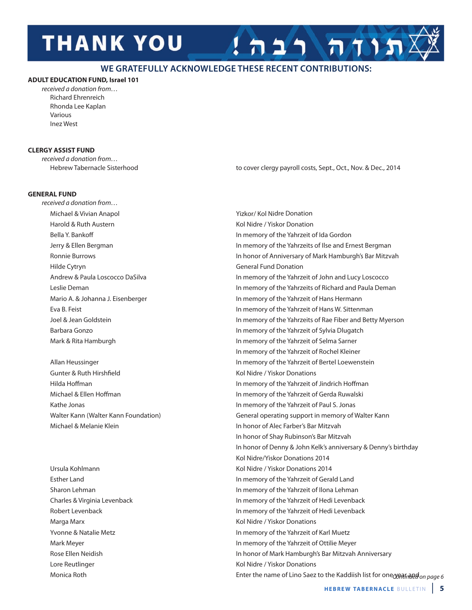# **THANK YOU**

### **WE GRATEFULLY ACKNOWLEDGE THESE RECENT CONTRIBUTIONS:**

### **adULt edUCatION FUNd, Israel 101**

received a donation from… Richard Ehrenreich rhonda lee Kaplan various Inez West

### **CLerGY aSSISt FUNd**

received a donation from…

Hebrew Tabernacle Sisterhood to cover clergy payroll costs, Sept., Oct., Nov. & Dec., 2014

 $\pi$ תות רבה

### **GeNeraL FUNd**

received a donation from… Michael & Vivian Anapol yizkor/ Kol Nidre Donation harold & ruth austern Kol nidre / yiskor donation Hilde Cytryn General Fund Donation

Gunter & Ruth Hirshfield **Kollands** Kol Nidre / Yiskor Donations michael & melanie Klein In honor of alec Farber's bar mitzvah

Monica Roth **continued on page 6** Enter the name of Lino Saez to the Kaddiish list for one year and by a ge 6 Monica Marga Marx **Marga Marx Marga Marx Marga Marx Marga Marx Constant Marga Marx Constant Marga Marx Constant Marga Marx Constant Marga Marx Constant Marga Marx Constant Marga Marx Constant Marga Marx Cons** lore reutlinger Kol nidre / yiskor donations

bella y. bankoff In memory of the yahrzeit of Ida Gordon Jerry & Ellen Bergman **In memory of the Yahrzeits of Ilse and Ernest Bergman** ronnie burrows In honor of anniversary of mark hamburgh's bar mitzvah Andrew & Paula Loscocco DaSilva In memory of the Yahrzeit of John and Lucy Loscocco Leslie Deman **In memory of the Yahrzeits of Richard and Paula Deman** In memory of the Yahrzeits of Richard and Paula Deman Mario A. & Johanna J. Eisenberger In memory of the Yahrzeit of Hans Hermann eva b. Feist In memory of the yahrzeit of hans W. Sittenman Joel & Jean Goldstein In memory of the yahrzeits of rae Fiber and betty myerson Barbara Gonzo **In memory of the Yahrzeit of Sylvia Dlugatch** In memory of the Yahrzeit of Sylvia Dlugatch Mark & Rita Hamburgh **In memory of the Yahrzeit of Selma Sarner** In memory of the Yahrzeit of Rochel Kleiner allan heussinger In memory of the yahrzeit of bertel loewenstein hilda hoffman In memory of the yahrzeit of Jindrich hoffman michael & ellen hoffman In memory of the yahrzeit of Gerda ruwalski Kathe Jonas **In memory of the Yahrzeit of Paul S. Jonas** In memory of the Yahrzeit of Paul S. Jonas Walter Kann (Walter Kann Foundation) General operating support in memory of Walter Kann In honor of Shay Rubinson's Bar Mitzvah In honor of Denny & John Kelk's anniversary & Denny's birthday Kol Nidre/Yiskor Donations 2014 ursula Kohlmann Kol nidre / yiskor donations 2014 esther land In memory of the yahrzeit of Gerald land Sharon Lehman **In memory of the Yahrzeit of Ilona Lehman** In memory of the Yahrzeit of Ilona Lehman Charles & virginia levenback In memory of the yahrzeit of hedi levenback Robert Levenback **In memory of the Yahrzeit of Hedi Levenback** In memory of the Yahrzeit of Hedi Levenback yvonne & natalie metz In memory of the yahrzeit of Karl muetz mark meyer In memory of the yahrzeit of ottilie meyer Rose Ellen Neidish **In honor of Mark Hamburgh's Bar Mitzvah Anniversary In honor of Mark Hamburgh's Bar Mitzvah Anniversary**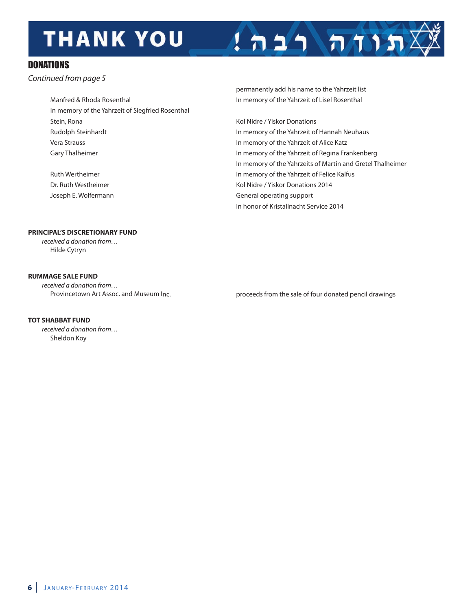# **THANK YOU**



### **DONATIONS**

Continued from page 5

| Manfred & Rhoda Rosenthal                        |
|--------------------------------------------------|
|                                                  |
| In memory of the Yahrzeit of Siegfried Rosenthal |
| Stein, Rona                                      |
| Rudolph Steinhardt                               |
| Vera Strauss                                     |
| Gary Thalheimer                                  |
|                                                  |

permanently add his name to the Yahrzeit list In memory of the Yahrzeit of Lisel Rosenthal

Kol Nidre / Yiskor Donations In memory of the Yahrzeit of Hannah Neuhaus In memory of the Yahrzeit of Alice Katz In memory of the Yahrzeit of Regina Frankenberg In memory of the Yahrzeits of Martin and Gretel Thalheimer Ruth Wertheimer **In memory of the Yahrzeit of Felice Kalfus** Dr. Ruth Westheimer Theorem 2014 Collection Control of Ruth Westheimer May 1990 Collections 2014 Joseph E. Wolfermann General operating support In honor of Kristallnacht Service 2014

### **PRINCIPAL'S DISCRETIONARY FUND**

received a donation from… hilde Cytryn

### **rUMMaGe SaLe FUNd**

received a donation from…

Provincetown Art Assoc. and Museum Inc. **proceeds from the sale of four donated pencil drawings** 

### **TOT SHABBAT FUND**

received a donation from… Sheldon Koy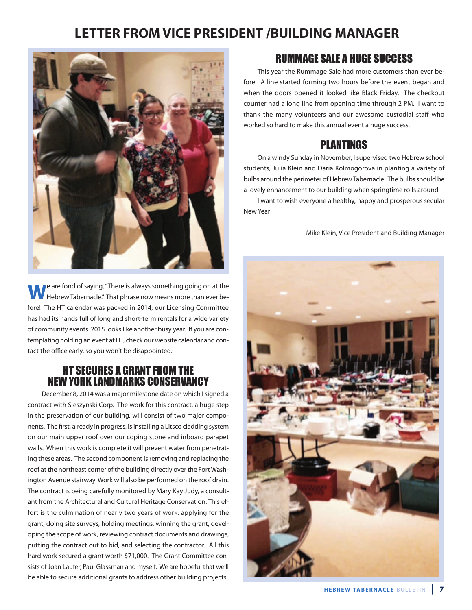### **Letter FrOM vICe PreSIdeNt /bUILdING MaNaGer**



**W**e are fond of saying, "There is always something going on at the<br>Hebrew Tabernacle." That phrase now means more than ever before! The HT calendar was packed in 2014; our Licensing Committee has had its hands full of long and short-term rentals for a wide variety of community events. 2015 looks like another busy year. If you are contemplating holding an event at hT, check our website calendar and contact the office early, so you won't be disappointed.

### HT SECURES A GRANT FROM THE NEW YORK LANDMARKS CONSERVANCY

December 8, 2014 was a major milestone date on which I signed a contract with Sleszynski Corp. The work for this contract, a huge step in the preservation of our building, will consist of two major components. The first, already in progress, is installing a litsco cladding system on our main upper roof over our coping stone and inboard parapet walls. When this work is complete it will prevent water from penetrating these areas. The second component is removing and replacing the roof at the northeast corner of the building directly over the Fort Washington Avenue stairway. Work will also be performed on the roof drain. The contract is being carefully monitored by mary Kay Judy, a consultant from the Architectural and Cultural Heritage Conservation. This effort is the culmination of nearly two years of work: applying for the grant, doing site surveys, holding meetings, winning the grant, developing the scope of work, reviewing contract documents and drawings, putting the contract out to bid, and selecting the contractor. all this hard work secured a grant worth \$71,000. The Grant Committee consists of Joan laufer, Paul Glassman and myself. We are hopeful that we'll be able to secure additional grants to address other building projects.

### RUMMAGE SALE A HUGE SUCCESS

This year the Rummage Sale had more customers than ever before. A line started forming two hours before the event began and when the doors opened it looked like black Friday. The checkout counter had a long line from opening time through 2 Pm. I want to thank the many volunteers and our awesome custodial staff who worked so hard to make this annual event a huge success.

### PLANTINGS

On a windy Sunday in November, I supervised two Hebrew school students, Julia Klein and Daria Kolmogorova in planting a variety of bulbs around the perimeter of hebrew Tabernacle. The bulbs should be a lovely enhancement to our building when springtime rolls around.

I want to wish everyone a healthy, happy and prosperous secular New Year!

mike Klein, vice President and building manager

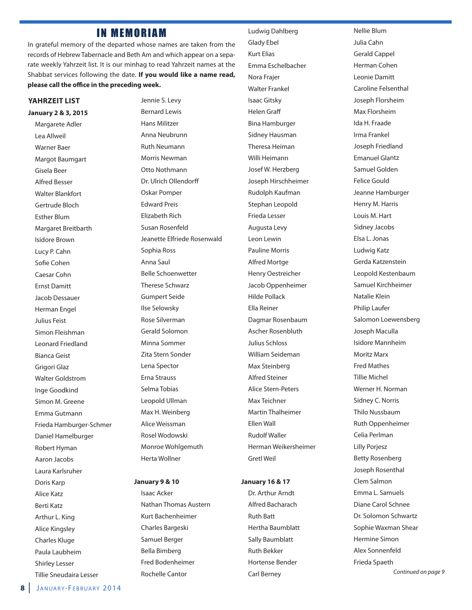### **IN MEMORIAM**

In grateful memory of the departed whose names are taken from the records of Hebrew Tabernacle and Beth Am and which appear on a separate weekly Yahrzeit list. It is our minhag to read Yahrzeit names at the Shabbat services following the date. **If you would like a name read, please call the office in the preceding week.**

### **YahrzeIt LISt**

### **January 2 & 3, 2015**

Margarete Adler lea allweil Warner baer Margot Baumgart Gisela beer alfred besser Walter Blankfort Gertrude Bloch **Esther Blum** Margaret Breitbarth **Isidore Brown** lucy P. Cahn Sofie Cohen Caesar Cohn **Ernst Damitt** Jacob Dessauer Herman Engel Julius Feist Simon Fleishman leonard Friedland bianca Geist Grigori Glaz Walter Goldstrom Inge Goodkind Simon M. Greene Emma Gutmann Frieda hamburger-Schmer Daniel Hamelburger Robert Hyman aaron Jacobs laura Karlsruher Doris Karp alice Katz berti Katz Arthur L. King alice Kingsley Charles Kluge Paula laubheim Shirley lesser Tillie Sneudaira lesser

Jennie S. levy bernard lewis hans militzer Anna Neubrunn **Ruth Neumann** Morris Newman Otto Nothmann Dr. Ulrich Ollendorff oskar Pomper **Edward Preis Elizabeth Rich** Susan Rosenfeld Jeanette Elfriede Rosenwald Sophia Ross anna Saul belle Schoenwetter Therese Schwarz Gumpert Seide Ilse Selowsky rose Silverman Gerald Solomon Minna Sommer Zita Stern Sonder lena Spector erna Strauss Selma Tobias Leopold Ullman Max H. Weinberg alice Weissman Rosel Wodowski Monroe Wohlgemuth herta Wollner

#### **January 9 & 10**

Isaac Acker Nathan Thomas Austern Kurt bachenheimer Charles bargeski Samuel berger bella bimberg Fred bodenheimer rochelle Cantor

Ludwig Dahlberg Glady ebel **Kurt Elias** emma eschelbacher Nora Frajer Walter Frankel Isaac Gitsky helen Graff **Bina Hamburger** Sidney Hausman Theresa Heiman Willi Heimann Josef W. herzberg Joseph hirschheimer **Rudolph Kaufman** Stephan leopold Frieda lesser Augusta Levy leon lewin Pauline Morris alfred mortge henry oestreicher Jacob oppenheimer hilde Pollack **Ella Reiner** Dagmar Rosenbaum Ascher Rosenbluth Julius Schloss William Seideman Max Steinberg alfred Steiner alice Stern-Peters Max Teichner **Martin Thalheimer Fllen Wall Rudolf Waller** herman Weikersheimer Gretl Weil

### **January 16 & 17**

Dr. Arthur Arndt alfred bacharach **Ruth Batt** hertha baumblatt Sally Baumblatt **Ruth Bekker** hortense bender **Carl Berney** 

nellie blum Julia Cahn Gerald Cappel herman Cohen Leonie Damitt Caroline Felsenthal Joseph Florsheim Max Florsheim Ida h. Fraade Irma Frankel Joseph Friedland **Emanuel Glantz** Samuel Golden Felice Gould Jeanne Hamburger Henry M. Harris Louis M. Hart Sidney Jacobs elsa l. Jonas ludwig Katz Gerda Katzenstein leopold Kestenbaum Samuel Kirchheimer natalie Klein Philip laufer Salomon loewensberg Joseph maculla Isidore mannheim Moritz Marx Fred mathes Tillie michel Werner H. Norman Sidney C. Norris **Thilo Nussbaum Ruth Oppenheimer** Celia Perlman lilly Porjesz **Betty Rosenberg** Joseph Rosenthal Clem Salmon Emma L. Samuels Diane Carol Schnee Dr. Solomon Schwartz Sophie Waxman Shear hermine Simon alex Sonnenfeld Frieda Spaeth Continued on page 9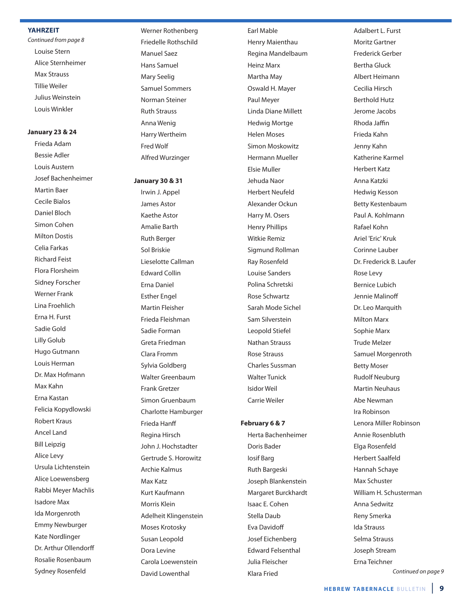#### **YahrzeIt**

Continued from page 8 louise Stern alice Sternheimer max Strauss Tillie Weiler Julius Weinstein louis Winkler

### **January 23 & 24**

Frieda Adam bessie adler Louis Austern Josef bachenheimer Martin Baer Cecile bialos Daniel Bloch Simon Cohen **Milton Dostis** Celia Farkas **Richard Feist** Flora Florsheim Sidney Forscher Werner Frank lina Froehlich Erna H. Furst Sadie Gold Lilly Golub hugo Gutmann Louis Herman Dr. Max Hofmann max Kahn Erna Kastan Felicia Kopydlowski **Robert Kraus Ancel Land Bill Leipzig** alice levy Ursula Lichtenstein alice loewensberg Rabbi Meyer Machlis Isadore max Ida Morgenroth **Emmy Newburger** Kate Nordlinger Dr. Arthur Ollendorff Rosalie Rosenbaum Sydney Rosenfeld

Werner Rothenberg Friedelle Rothschild manuel Saez hans Samuel Mary Seelig Samuel Sommers Norman Steiner **Ruth Strauss** Anna Wenig harry Wertheim Fred Wolf alfred Wurzinger

#### **January 30 & 31**

Irwin J. Appel James Astor **Kaethe Astor** amalie barth **Ruth Berger** Sol briskie lieselotte Callman **Fdward Collin** Erna Daniel **Esther Engel** martin Fleisher Frieda Fleishman Sadie Forman Greta Friedman Clara Fromm Sylvia Goldberg Walter Greenbaum Frank Gretzer Simon Gruenbaum Charlotte hamburger Frieda Hanff Regina Hirsch John J. hochstadter Gertrude S. horowitz archie Kalmus max Katz Kurt Kaufmann morris Klein adelheit Klingenstein moses Krotosky Susan leopold Dora Levine Carola loewenstein David Lowenthal

**Earl Mable Henry Maienthau** Regina Mandelbaum **Heinz Marx** Martha May oswald h. mayer Paul Meyer Linda Diane Millett Hedwig Mortge helen moses Simon Moskowitz hermann mueller elsie muller Jehuda Naor herbert neufeld alexander ockun Harry M. Osers henry Phillips Witkie Remiz Sigmund Rollman **Ray Rosenfeld** louise Sanders Polina Schretski Rose Schwartz Sarah mode Sichel Sam Silverstein leopold Stiefel **Nathan Strauss** rose Strauss Charles Sussman Walter Tunick Isidor Weil

#### **February 6 & 7**

Carrie Weiler

herta bachenheimer Doris Bader Iosif barg **Ruth Bargeski** Joseph blankenstein margaret burckhardt Isaac E. Cohen Stella Daub **Fva Davidoff** Josef Eichenberg **Edward Felsenthal** Julia Fleischer Klara Fried

Adalbert L. Furst Moritz Gartner Frederick Gerber bertha Gluck albert heimann Cecilia hirsch berthold hutz Jerome Jacobs rhoda Jaffin Frieda Kahn Jenny Kahn Katherine Karmel herbert Katz anna Katzki hedwig Kesson betty Kestenbaum Paul A. Kohlmann rafael Kohn Ariel 'Eric' Kruk Corinne lauber Dr. Frederick B. Laufer Rose Levy bernice lubich Jennie Malinoff Dr. Leo Marquith **Milton Marx** Sophie Marx Trude melzer Samuel Morgenroth **Betty Moser Rudolf Neuburg Martin Neuhaus** Abe Newman Ira Robinson Lenora Miller Robinson Annie Rosenbluth Elga Rosenfeld herbert Saalfeld hannah Schaye Max Schuster William H. Schusterman anna Sedwitz **Reny Smerka** Ida Strauss Selma Strauss Joseph Stream Erna Teichner

Continued on page 9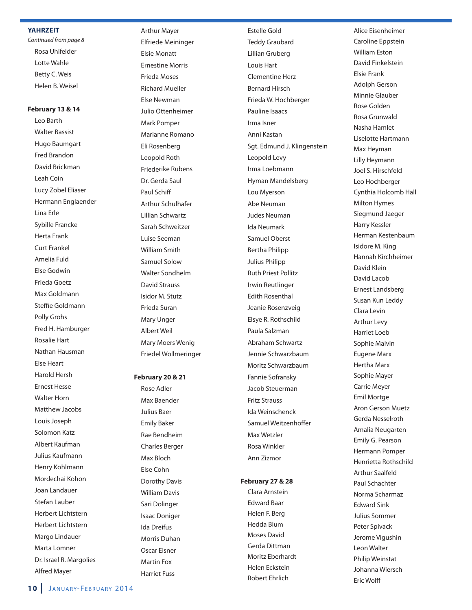#### **YahrzeIt**

Continued from page 8 rosa uhlfelder lotte Wahle Betty C. Weis helen b. Weisel

### **February 13 & 14**

leo barth Walter Bassist hugo baumgart **Fred Brandon** David Brickman leah Coin Lucy Zobel Eliaser Hermann Englaender Lina Erle Sybille Francke herta Frank Curt Frankel amelia Fuld Else Godwin Frieda Goetz max Goldmann Steffie Goldmann Polly Grohs Fred H. Hamburger **Rosalie Hart** Nathan Hausman else heart harold hersh ernest hesse Walter Horn Matthew Jacobs louis Joseph Solomon Katz albert Kaufman Julius Kaufmann henry Kohlmann mordechai Kohon Joan landauer Stefan lauber herbert lichtstern herbert lichtstern Margo Lindauer Marta Lomner Dr. Israel R. Margolies alfred mayer

**Arthur Mayer** elfriede meininger elsie monatt **Ernestine Morris** Frieda moses richard mueller **Flse Newman** Julio ottenheimer Mark Pomper Marianne Romano Eli Rosenberg Leopold Roth Friederike Rubens Dr. Gerda Saul Paul Schiff arthur Schulhafer lillian Schwartz Sarah Schweitzer luise Seeman William Smith Samuel Solow Walter Sondhelm David Strauss Isidor m. Stutz Frieda Suran **Mary Unger** albert Weil **Mary Moers Wenig** Friedel Wollmeringer

#### **February 20 & 21**

Rose Adler Max Baender Julius baer **Emily Baker** Rae Bendheim Charles berger Max Bloch else Cohn Dorothy Davis William Davis Sari Dolinger Isaac Doniger Ida Dreifus Morris Duhan Oscar Eisner Martin Fox harriet Fuss

**Estelle Gold** Teddy Graubard lillian Gruberg louis hart Clementine herz bernard hirsch Frieda W. hochberger Pauline Isaacs Irma Isner anni Kastan Sgt. Edmund J. Klingenstein leopold levy Irma loebmann Hyman Mandelsberg Lou Myerson Abe Neuman **Judes Neuman** Ida neumark Samuel oberst bertha Philipp Julius Philipp **Ruth Priest Pollitz** Irwin Reutlinger **Edith Rosenthal** Jeanie Rosenzveig Elsye R. Rothschild Paula Salzman abraham Schwartz Jennie Schwarzbaum moritz Schwarzbaum Fannie Sofransky Jacob Steuerman Fritz Strauss Ida Weinschenck Samuel Weitzenhoffer Max Wetzler Rosa Winkler ann Zizmor

### **February 27 & 28**

Clara Arnstein **Edward Baar** helen F. berg hedda blum Moses David Gerda Dittman Moritz Eberhardt Helen Eckstein Robert Fhrlich

Alice Eisenheimer Caroline Eppstein **William Eston** David Finkelstein elsie Frank adolph Gerson Minnie Glauber Rose Golden rosa Grunwald Nasha Hamlet liselotte hartmann Max Heyman lilly heymann Joel S. hirschfeld leo hochberger Cynthia Holcomb Hall **Milton Hymes** Siegmund Jaeger harry Kessler herman Kestenbaum Isidore M. King hannah Kirchheimer David Klein David Lacob Ernest Landsberg Susan Kun leddy Clara levin arthur levy harriet loeb Sophie Malvin **Eugene Marx** Hertha Marx Sophie Mayer **Carrie Meyer Emil Mortge Aron Gerson Muetz** Gerda Nesselroth Amalia Neugarten Emily G. Pearson hermann Pomper Henrietta Rothschild arthur Saalfeld Paul Schachter Norma Scharmaz **Edward Sink** Julius Sommer Peter Spivack Jerome Vigushin leon Walter Philip Weinstat Johanna Wiersch **Fric Wolff**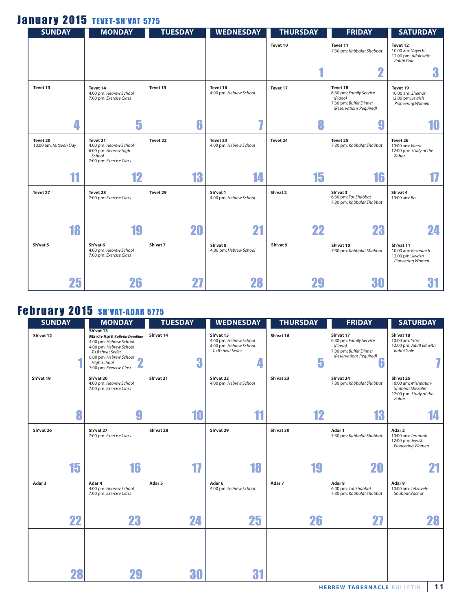### January 2015 TEVET-SH'VAT 5775

| <b>SUNDAY</b>                     | <b>MONDAY</b>                                                                                   | <b>TUESDAY</b> | <b>WEDNESDAY</b>                   | <b>THURSDAY</b> | <b>FRIDAY</b>                                                                                       | <b>SATURDAY</b>                                                          |
|-----------------------------------|-------------------------------------------------------------------------------------------------|----------------|------------------------------------|-----------------|-----------------------------------------------------------------------------------------------------|--------------------------------------------------------------------------|
|                                   |                                                                                                 |                |                                    | Tevet 10        | Tevet 11<br>7:30 pm: Kabbalat Shabbat                                                               | Tevet 12<br>10:00 am: Vayechi<br>12:00 pm: Adult with<br>Rabbi Gale      |
|                                   |                                                                                                 |                |                                    |                 | 2                                                                                                   | 3                                                                        |
| Tevet 13                          | Tevet 14<br>4:00 pm: Hebrew School<br>7:00 pm: Exercise Class                                   | Tevet 15       | Tevet 16<br>4:00 pm: Hebrew School | Tevet 17        | Tevet 18<br>6:30 pm: Family Service<br>(Piano)<br>7:30 pm: Buffet Dinner<br>(Reservations Required) | Tevet 19<br>10:00 am: Shemot<br>12:00 pm: Jewish<br>Pioneering Women     |
| 4                                 | 5                                                                                               | 6              | $\overline{I}$                     | 8               | у                                                                                                   | 10                                                                       |
| Tevet 20<br>10:00 am: Mitzvah Day | Tevet 21<br>4:00 pm: Hebrew School<br>6:00 pm: Hebrew High<br>School<br>7:00 pm: Exercise Class | Tevet 22       | Tevet 23<br>4:00 pm: Hebrew School | Tevet 24        | Tevet 25<br>7:30 pm: Kabbalat Shabbat                                                               | Tevet 26<br>10:00 am: Vaera<br>12:00 pm: Study of the<br>Zohar           |
| 11                                | 12                                                                                              | 13             | 14                                 | 15              | 16                                                                                                  |                                                                          |
| Tevet 27                          | Tevet 28<br>7:00 pm: Exercise Class                                                             | Tevet 29       | Sh'vat 1<br>4:00 pm: Hebrew School | Sh'vat 2        | Sh'vat 3<br>6:30 pm: Tot Shabbat<br>7:30 pm: Kabbalat Shabbat                                       | Sh'vat 4<br>10:00 am: Bo                                                 |
| 18                                | 19                                                                                              | 20             | 21                                 | 22              | 23                                                                                                  | 24                                                                       |
| Sh'vat 5                          | Sh'vat 6<br>4:00 pm: Hebrew School<br>7:00 pm: Exercise Class                                   | Sh'vat 7       | Sh'vat 8<br>4:00 pm: Hebrew School | Sh'vat 9        | Sh'vat 10<br>7:30 pm: Kabbalat Shabbat                                                              | Sh'vat 11<br>10:00 am: Beshalach<br>12:00 pm: Jewish<br>Pioneering Women |
| 25                                | 26                                                                                              | 27             | 28                                 | 29              | 30                                                                                                  | 31                                                                       |

### **February 2015 SH'VAT-ADAR 5775**

| <b>SUNDAY</b> | <b>MONDAY</b>                                                                                                                                                                                 | <b>TUESDAY</b> | <b>WEDNESDAY</b>                                                                  | <b>THURSDAY</b> | <b>FRIDAY</b>                                                                                             | <b>SATURDAY</b>                                                                          |
|---------------|-----------------------------------------------------------------------------------------------------------------------------------------------------------------------------------------------|----------------|-----------------------------------------------------------------------------------|-----------------|-----------------------------------------------------------------------------------------------------------|------------------------------------------------------------------------------------------|
| Sh'vat 12     | Sh'vat 13<br><b>March-April Bulletin Deadline</b><br>4:00 pm: Hebrew School<br>4:00 pm: Hebrew School<br>Tu B'shvat Seder<br>6:00 pm: Hebrew School<br>High School<br>7:00 pm: Exercise Class | Sh'vat 14<br>3 | Sh'vat 15<br>4:00 pm: Hebrew School<br>4:00 pm: Hebrew School<br>Tu B'shvat Seder | Sh'vat 16<br>5  | Sh'vat 17<br>6:30 pm: Family Service<br>(Piano)<br>7:30 pm: Buffet Dinner<br>(Reservations Required)<br>ĥ | Sh'vat 18<br>10:00 am: Yitro<br>12:00 pm: Adult Ed with<br>Rabbi Gale                    |
| Sh'vat 19     | Sh'vat 20<br>4:00 pm: Hebrew School<br>7:00 pm: Exercise Class                                                                                                                                | Sh'vat 21      | Sh'vat 22<br>4:00 pm: Hebrew School                                               | Sh'vat 23       | Sh'vat 24<br>7:30 pm: Kabbalat Shabbat                                                                    | Sh'vat 25<br>10:00 am: Mishpatim-<br>Shabbat Shekalim<br>12:00 pm: Study of the<br>Zohar |
|               | 9<br>8                                                                                                                                                                                        | 10             | 11                                                                                | 12              | 13                                                                                                        |                                                                                          |
| Sh'vat 26     | Sh'vat 27<br>7:00 pm: Exercise Class                                                                                                                                                          | Sh'vat 28      | Sh'vat 29                                                                         | Sh'vat 30       | Adar 1<br>7:30 pm: Kabbalat Shabbat                                                                       | Adar 2<br>10:00 am: Terumah<br>12:00 pm: Jewish<br>Pioneering Women                      |
| 15            | 16                                                                                                                                                                                            | 17             | 18                                                                                | 19              | 20                                                                                                        |                                                                                          |
| Adar 3        | Adar 4<br>4:00 pm: Hebrew School<br>7:00 pm: Exercise Class                                                                                                                                   | Adar 5         | Adar 6<br>4:00 pm: Hebrew School                                                  | Adar 7          | Adar 8<br>6:00 pm: Tot Shabbat<br>7:30 pm: Kabbalat Shabbat                                               | Adar 9<br>10:00 am: Tetzaveh-<br>Shabbat Zachor                                          |
| 22            | 23                                                                                                                                                                                            | 24             | 25                                                                                | 26              | 27                                                                                                        | 28                                                                                       |
|               |                                                                                                                                                                                               |                |                                                                                   |                 |                                                                                                           |                                                                                          |
| 28            | 29                                                                                                                                                                                            | 30             | 31                                                                                |                 |                                                                                                           |                                                                                          |